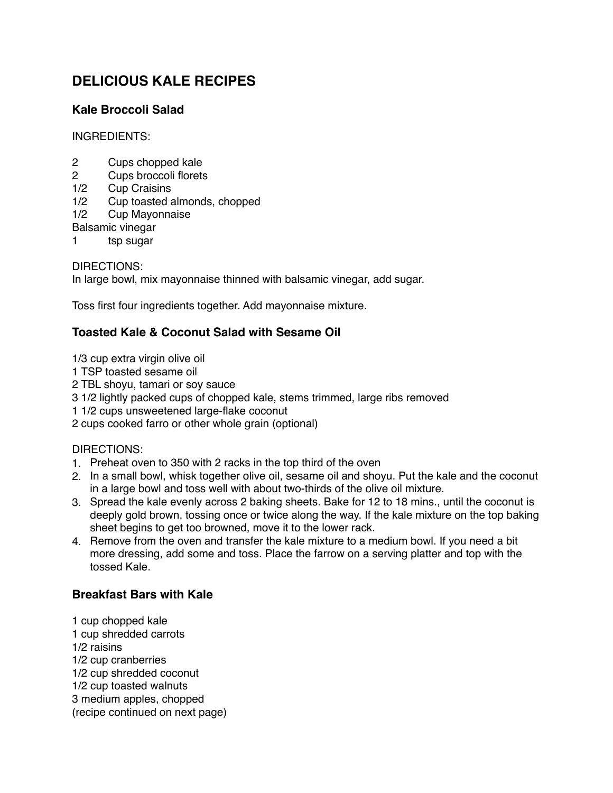# **DELICIOUS KALE RECIPES**

# **Kale Broccoli Salad**

INGREDIENTS:

- 2 Cups chopped kale
- 2 Cups broccoli florets
- 1/2 Cup Craisins
- 1/2 Cup toasted almonds, chopped
- 1/2 Cup Mayonnaise
- Balsamic vinegar
- 1 tsp sugar

DIRECTIONS:

In large bowl, mix mayonnaise thinned with balsamic vinegar, add sugar.

Toss first four ingredients together. Add mayonnaise mixture.

## **Toasted Kale & Coconut Salad with Sesame Oil**

1/3 cup extra virgin olive oil

- 1 TSP toasted sesame oil
- 2 TBL shoyu, tamari or soy sauce
- 3 1/2 lightly packed cups of chopped kale, stems trimmed, large ribs removed
- 1 1/2 cups unsweetened large-flake coconut
- 2 cups cooked farro or other whole grain (optional)

### DIRECTIONS:

- 1. Preheat oven to 350 with 2 racks in the top third of the oven
- 2. In a small bowl, whisk together olive oil, sesame oil and shoyu. Put the kale and the coconut in a large bowl and toss well with about two-thirds of the olive oil mixture.
- 3. Spread the kale evenly across 2 baking sheets. Bake for 12 to 18 mins., until the coconut is deeply gold brown, tossing once or twice along the way. If the kale mixture on the top baking sheet begins to get too browned, move it to the lower rack.
- 4. Remove from the oven and transfer the kale mixture to a medium bowl. If you need a bit more dressing, add some and toss. Place the farrow on a serving platter and top with the tossed Kale.

# **Breakfast Bars with Kale**

1 cup chopped kale 1 cup shredded carrots 1/2 raisins 1/2 cup cranberries 1/2 cup shredded coconut 1/2 cup toasted walnuts 3 medium apples, chopped (recipe continued on next page)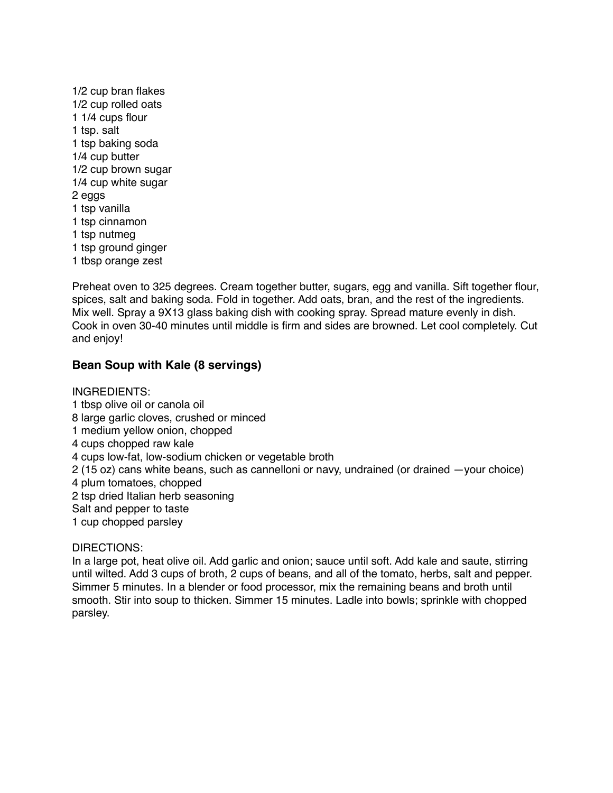1/2 cup bran flakes 1/2 cup rolled oats 1 1/4 cups flour 1 tsp. salt 1 tsp baking soda 1/4 cup butter 1/2 cup brown sugar 1/4 cup white sugar 2 eggs 1 tsp vanilla 1 tsp cinnamon 1 tsp nutmeg 1 tsp ground ginger 1 tbsp orange zest

Preheat oven to 325 degrees. Cream together butter, sugars, egg and vanilla. Sift together flour, spices, salt and baking soda. Fold in together. Add oats, bran, and the rest of the ingredients. Mix well. Spray a 9X13 glass baking dish with cooking spray. Spread mature evenly in dish. Cook in oven 30-40 minutes until middle is firm and sides are browned. Let cool completely. Cut and enjoy!

### **Bean Soup with Kale (8 servings)**

INGREDIENTS: 1 tbsp olive oil or canola oil 8 large garlic cloves, crushed or minced 1 medium yellow onion, chopped 4 cups chopped raw kale 4 cups low-fat, low-sodium chicken or vegetable broth 2 (15 oz) cans white beans, such as cannelloni or navy, undrained (or drained —your choice) 4 plum tomatoes, chopped 2 tsp dried Italian herb seasoning Salt and pepper to taste 1 cup chopped parsley

#### DIRECTIONS:

In a large pot, heat olive oil. Add garlic and onion; sauce until soft. Add kale and saute, stirring until wilted. Add 3 cups of broth, 2 cups of beans, and all of the tomato, herbs, salt and pepper. Simmer 5 minutes. In a blender or food processor, mix the remaining beans and broth until smooth. Stir into soup to thicken. Simmer 15 minutes. Ladle into bowls; sprinkle with chopped parsley.